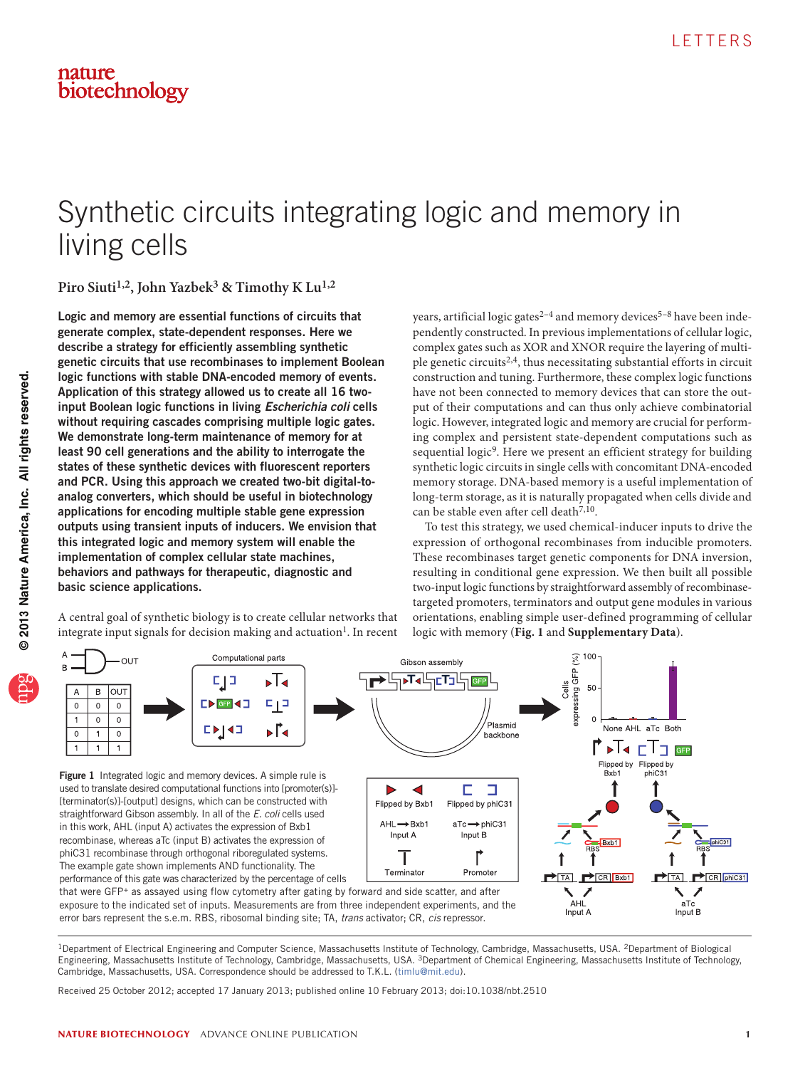# Synthetic circuits integrating logic and memory in living cells

Piro Siuti<sup>1,2</sup>, John Yazbek<sup>3</sup> & Timothy K Lu<sup>1,2</sup>

Logic and memory are essential functions of circuits that generate complex, state-dependent responses. Here we describe a strategy for efficiently assembling synthetic genetic circuits that use recombinases to implement Boolean logic functions with stable DNA-encoded memory of events. Application of this strategy allowed us to create all 16 twoinput Boolean logic functions in living *Escherichia coli* cells without requiring cascades comprising multiple logic gates. We demonstrate long-term maintenance of memory for at least 90 cell generations and the ability to interrogate the states of these synthetic devices with fluorescent reporters and PCR. Using this approach we created two-bit digital-toanalog converters, which should be useful in biotechnology applications for encoding multiple stable gene expression outputs using transient inputs of inducers. We envision that this integrated logic and memory system will enable the implementation of complex cellular state machines, behaviors and pathways for therapeutic, diagnostic and basic science applications.

A central goal of synthetic biology is to create cellular networks that integrate input signals for decision making and actuation<sup>1</sup>. In recent

years, artificial logic gates<sup>2-4</sup> and memory devices<sup>5-8</sup> have been independently constructed. In previous implementations of cellular logic, complex gates such as XOR and XNOR require the layering of multi-ple genetic circuits<sup>[2,](#page-4-1)[4](#page-4-2)</sup>, thus necessitating substantial efforts in circuit construction and tuning. Furthermore, these complex logic functions have not been connected to memory devices that can store the output of their computations and can thus only achieve combinatorial logic. However, integrated logic and memory are crucial for performing complex and persistent state-dependent computations such as sequential logic<sup>[9](#page-4-5)</sup>. Here we present an efficient strategy for building synthetic logic circuits in single cells with concomitant DNA-encoded memory storage. DNA-based memory is a useful implementation of long-term storage, as it is naturally propagated when cells divide and can be stable even after cell death<sup>[7,](#page-4-6)[10](#page-4-7)</sup>.

To test this strategy, we used chemical-inducer inputs to drive the expression of orthogonal recombinases from inducible promoters. These recombinases target genetic components for DNA inversion, resulting in conditional gene expression. We then built all possible two-input logic functions by straightforward assembly of recombinasetargeted promoters, terminators and output gene modules in various orientations, enabling simple user-defined programming of cellular logic with memory (**[Fig. 1](#page-0-0)** and **Supplementary Data**).

<span id="page-0-0"></span>

<sup>1</sup>Department of Electrical Engineering and Computer Science, Massachusetts Institute of Technology, Cambridge, Massachusetts, USA. <sup>2</sup>Department of Biological Engineering, Massachusetts Institute of Technology, Cambridge, Massachusetts, USA. <sup>3</sup>Department of Chemical Engineering, Massachusetts Institute of Technology, Cambridge, Massachusetts, USA. Correspondence should be addressed to T.K.L. (timlu@mit.edu).

Received 25 October 2012; accepted 17 January 2013; published online 10 February 2013; [doi:10.1038/nbt.2510](http://www.nature.com/doifinder/10.1038/nbt.2510)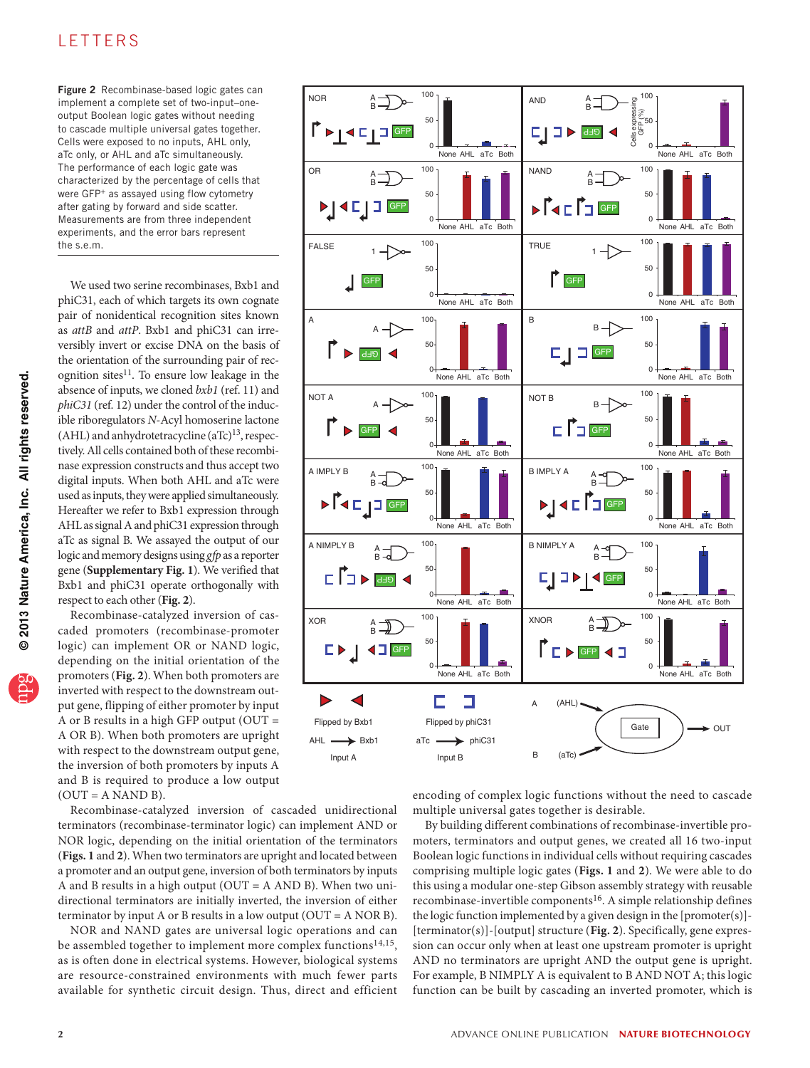## **LETTERS**

<span id="page-1-0"></span>Figure 2 Recombinase-based logic gates can implement a complete set of two-input–oneoutput Boolean logic gates without needing to cascade multiple universal gates together. Cells were exposed to no inputs, AHL only, aTc only, or AHL and aTc simultaneously. The performance of each logic gate was characterized by the percentage of cells that were GFP<sup>+</sup> as assayed using flow cytometry after gating by forward and side scatter. Measurements are from three independent experiments, and the error bars represent the s.e.m.

We used two serine recombinases, Bxb1 and phiC31, each of which targets its own cognate pair of nonidentical recognition sites known as *attB* and *attP*. Bxb1 and phiC31 can irreversibly invert or excise DNA on the basis of the orientation of the surrounding pair of recognition sites $11$ . To ensure low leakage in the absence of inputs, we cloned *bxb1* (ref. [11\)](#page-4-8) and *phiC31* (ref. [12](#page-4-9)) under the control of the inducible riboregulators *N*-Acyl homoserine lactone (AHL) and anhydrotetracycline (aTc[\)13](#page-4-10), respectively. All cells contained both of these recombinase expression constructs and thus accept two digital inputs. When both AHL and aTc were used as inputs, they were applied simultaneously. Hereafter we refer to Bxb1 expression through AHL as signal A and phiC31 expression through aTc as signal B. We assayed the output of our logic and memory designs using *gfp* as a reporter gene (**Supplementary Fig. 1**). We verified that Bxb1 and phiC31 operate orthogonally with respect to each other (**[Fig. 2](#page-1-0)**).

Recombinase-catalyzed inversion of cascaded promoters (recombinase-promoter logic) can implement OR or NAND logic, depending on the initial orientation of the promoters (**[Fig. 2](#page-1-0)**). When both promoters are inverted with respect to the downstream output gene, flipping of either promoter by input A or B results in a high GFP output (OUT = A OR B). When both promoters are upright with respect to the downstream output gene, the inversion of both promoters by inputs A and B is required to produce a low output  $(OUT = A NAND B).$ 

Recombinase-catalyzed inversion of cascaded unidirectional terminators (recombinase-terminator logic) can implement AND or NOR logic, depending on the initial orientation of the terminators (**[Figs. 1](#page-0-0)** and **[2](#page-0-0)**). When two terminators are upright and located between a promoter and an output gene, inversion of both terminators by inputs A and B results in a high output ( $OUT = A AND B$ ). When two unidirectional terminators are initially inverted, the inversion of either terminator by input A or B results in a low output ( $OUT = A NORB$ ).

NOR and NAND gates are universal logic operations and can be assembled together to implement more complex functions<sup>[14,](#page-4-11)[15](#page-4-12)</sup>, as is often done in electrical systems. However, biological systems are resource-constrained environments with much fewer parts available for synthetic circuit design. Thus, direct and efficient



encoding of complex logic functions without the need to cascade multiple universal gates together is desirable.

By building different combinations of recombinase-invertible promoters, terminators and output genes, we created all 16 two-input Boolean logic functions in individual cells without requiring cascades comprising multiple logic gates (**[Figs. 1](#page-0-0)** and **2**). We were able to do this using a modular one-step Gibson assembly strategy with reusable recombinase-invertible components<sup>16</sup>. A simple relationship defines the logic function implemented by a given design in the [promoter(s)]- [terminator(s)]-[output] structure (**[Fig. 2](#page-1-0)**). Specifically, gene expression can occur only when at least one upstream promoter is upright AND no terminators are upright AND the output gene is upright. For example, B NIMPLY A is equivalent to B AND NOT A; this logic function can be built by cascading an inverted promoter, which is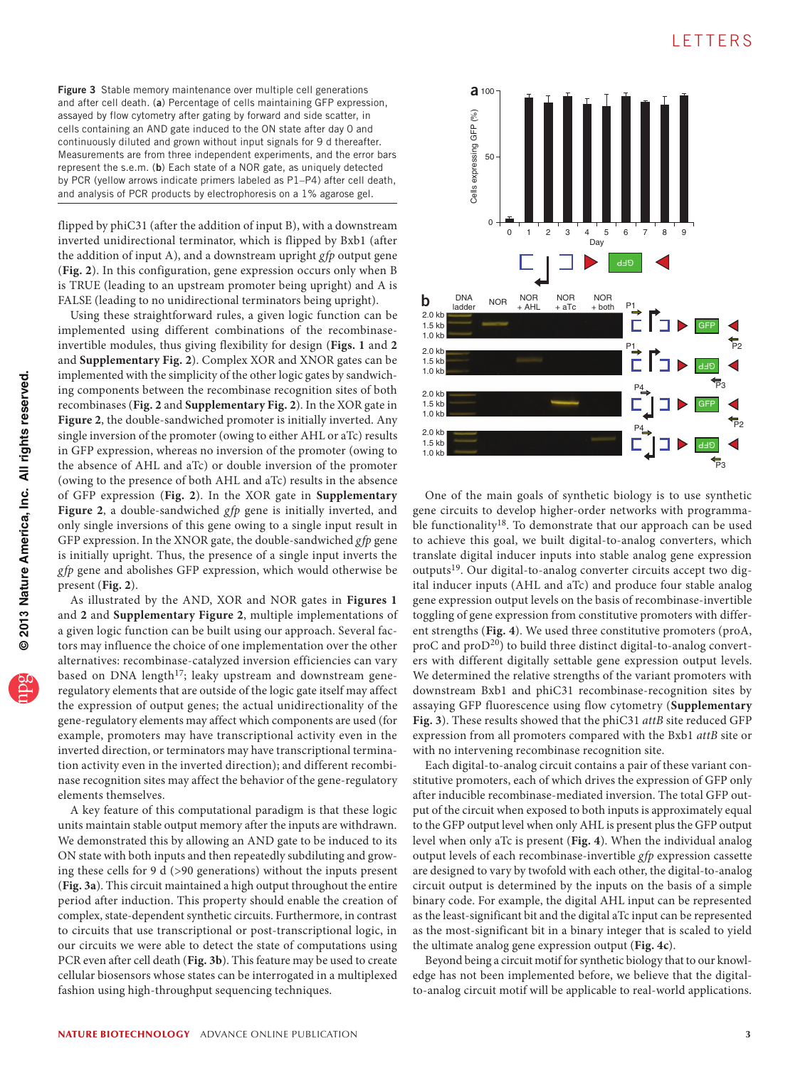<span id="page-2-0"></span>Figure 3 Stable memory maintenance over multiple cell generations and after cell death. (a) Percentage of cells maintaining GFP expression, assayed by flow cytometry after gating by forward and side scatter, in cells containing an AND gate induced to the ON state after day 0 and continuously diluted and grown without input signals for 9 d thereafter. Measurements are from three independent experiments, and the error bars represent the s.e.m. (b) Each state of a NOR gate, as uniquely detected by PCR (yellow arrows indicate primers labeled as P1–P4) after cell death, and analysis of PCR products by electrophoresis on a 1% agarose gel.

flipped by phiC31 (after the addition of input B), with a downstream inverted unidirectional terminator, which is flipped by Bxb1 (after the addition of input A), and a downstream upright *gfp* output gene (**[Fig. 2](#page-1-0)**). In this configuration, gene expression occurs only when B is TRUE (leading to an upstream promoter being upright) and A is FALSE (leading to no unidirectional terminators being upright).

Using these straightforward rules, a given logic function can be implemented using different combinations of the recombinaseinvertible modules, thus giving flexibility for design (**[Figs. 1](#page-0-0)** and **2** and **Supplementary Fig. 2**). Complex XOR and XNOR gates can be implemented with the simplicity of the other logic gates by sandwiching components between the recombinase recognition sites of both recombinases (**[Fig. 2](#page-1-0)** and **Supplementary Fig. 2**). In the XOR gate in **[Figure 2](#page-1-0)**, the double-sandwiched promoter is initially inverted. Any single inversion of the promoter (owing to either AHL or aTc) results in GFP expression, whereas no inversion of the promoter (owing to the absence of AHL and aTc) or double inversion of the promoter (owing to the presence of both AHL and aTc) results in the absence of GFP expression (**[Fig. 2](#page-1-0)**). In the XOR gate in **Supplementary Figure 2**, a double-sandwiched *gfp* gene is initially inverted, and only single inversions of this gene owing to a single input result in GFP expression. In the XNOR gate, the double-sandwiched *gfp* gene is initially upright. Thus, the presence of a single input inverts the *gfp* gene and abolishes GFP expression, which would otherwise be present (**[Fig. 2](#page-1-0)**).

As illustrated by the AND, XOR and NOR gates in **[Figures 1](#page-0-0)**  [and](#page-0-0) **2** and **Supplementary Figure 2**, multiple implementations of a given logic function can be built using our approach. Several factors may influence the choice of one implementation over the other alternatives: recombinase-catalyzed inversion efficiencies can vary based on DNA length<sup>17</sup>; leaky upstream and downstream generegulatory elements that are outside of the logic gate itself may affect the expression of output genes; the actual unidirectionality of the gene-regulatory elements may affect which components are used (for example, promoters may have transcriptional activity even in the inverted direction, or terminators may have transcriptional termination activity even in the inverted direction); and different recombinase recognition sites may affect the behavior of the gene-regulatory elements themselves.

A key feature of this computational paradigm is that these logic units maintain stable output memory after the inputs are withdrawn. We demonstrated this by allowing an AND gate to be induced to its ON state with both inputs and then repeatedly subdiluting and growing these cells for 9 d (>90 generations) without the inputs present (**[Fig. 3a](#page-2-0)**). This circuit maintained a high output throughout the entire period after induction. This property should enable the creation of complex, state-dependent synthetic circuits. Furthermore, in contrast to circuits that use transcriptional or post-transcriptional logic, in our circuits we were able to detect the state of computations using PCR even after cell death (**[Fig. 3b](#page-2-0)**). This feature may be used to create cellular biosensors whose states can be interrogated in a multiplexed fashion using high-throughput sequencing techniques.



One of the main goals of synthetic biology is to use synthetic gene circuits to develop higher-order networks with programmable functionality[18](#page-4-15). To demonstrate that our approach can be used to achieve this goal, we built digital-to-analog converters, which translate digital inducer inputs into stable analog gene expression outputs[19.](#page-4-16) Our digital-to-analog converter circuits accept two digital inducer inputs (AHL and aTc) and produce four stable analog gene expression output levels on the basis of recombinase-invertible toggling of gene expression from constitutive promoters with different strengths (**[Fig.](#page-3-0) 4**). We used three constitutive promoters (proA, proC and proD<sup>[20](#page-4-17)</sup>) to build three distinct digital-to-analog converters with different digitally settable gene expression output levels. We determined the relative strengths of the variant promoters with downstream Bxb1 and phiC31 recombinase-recognition sites by assaying GFP fluorescence using flow cytometry (**Supplementary Fig. 3**). These results showed that the phiC31 *attB* site reduced GFP expression from all promoters compared with the Bxb1 *attB* site or with no intervening recombinase recognition site.

Each digital-to-analog circuit contains a pair of these variant constitutive promoters, each of which drives the expression of GFP only after inducible recombinase-mediated inversion. The total GFP output of the circuit when exposed to both inputs is approximately equal to the GFP output level when only AHL is present plus the GFP output level when only aTc is present (**[Fig. 4](#page-3-0)**). When the individual analog output levels of each recombinase-invertible *gfp* expression cassette are designed to vary by twofold with each other, the digital-to-analog circuit output is determined by the inputs on the basis of a simple binary code. For example, the digital AHL input can be represented as the least-significant bit and the digital aTc input can be represented as the most-significant bit in a binary integer that is scaled to yield the ultimate analog gene expression output (**[Fig. 4c](#page-3-0)**).

Beyond being a circuit motif for synthetic biology that to our knowledge has not been implemented before, we believe that the digitalto-analog circuit motif will be applicable to real-world applications.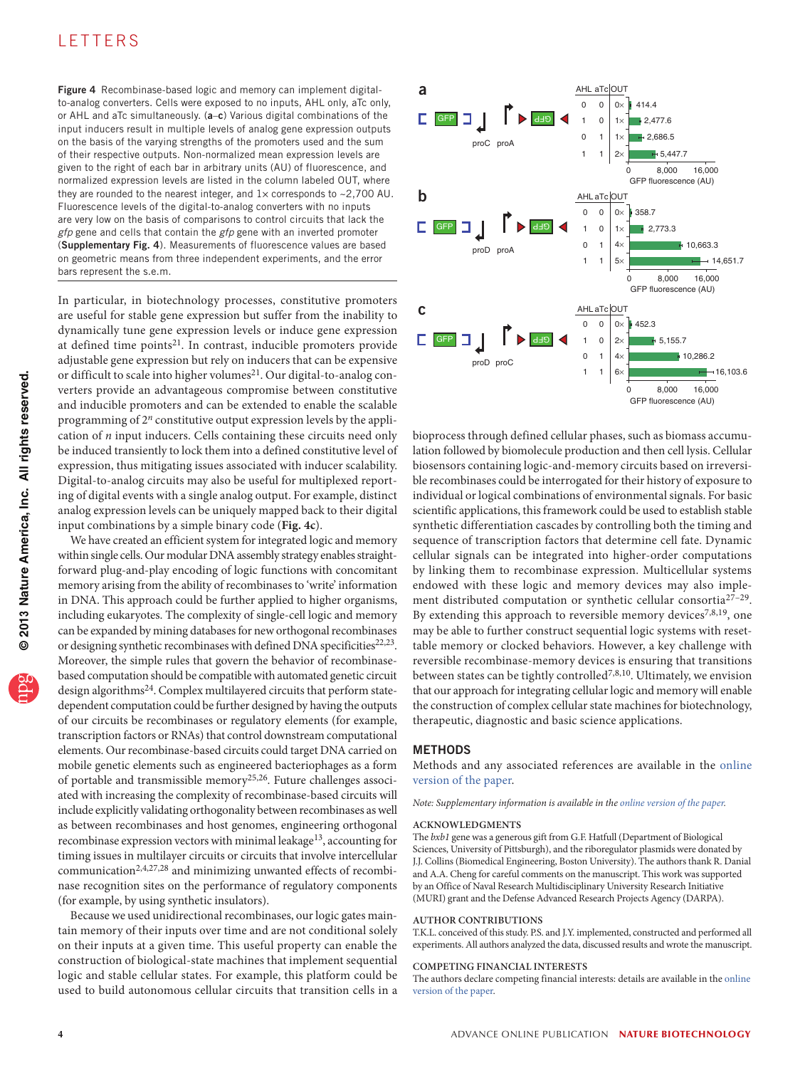# **LETTERS**

<span id="page-3-0"></span>Figure 4 Recombinase-based logic and memory can implement digitalto-analog converters. Cells were exposed to no inputs, AHL only, aTc only, or AHL and aTc simultaneously. (a–c) Various digital combinations of the input inducers result in multiple levels of analog gene expression outputs on the basis of the varying strengths of the promoters used and the sum of their respective outputs. Non-normalized mean expression levels are given to the right of each bar in arbitrary units (AU) of fluorescence, and normalized expression levels are listed in the column labeled OUT, where they are rounded to the nearest integer, and  $1 \times$  corresponds to  $\sim$  2,700 AU. Fluorescence levels of the digital-to-analog converters with no inputs are very low on the basis of comparisons to control circuits that lack the *gfp* gene and cells that contain the *gfp* gene with an inverted promoter (Supplementary Fig. 4). Measurements of fluorescence values are based on geometric means from three independent experiments, and the error bars represent the s.e.m.

In particular, in biotechnology processes, constitutive promoters are useful for stable gene expression but suffer from the inability to dynamically tune gene expression levels or induce gene expression at defined time points<sup>21</sup>. In contrast, inducible promoters provide adjustable gene expression but rely on inducers that can be expensive or difficult to scale into higher volumes<sup>21</sup>. Our digital-to-analog converters provide an advantageous compromise between constitutive and inducible promoters and can be extended to enable the scalable programming of 2*n* constitutive output expression levels by the application of *n* input inducers. Cells containing these circuits need only be induced transiently to lock them into a defined constitutive level of expression, thus mitigating issues associated with inducer scalability. Digital-to-analog circuits may also be useful for multiplexed reporting of digital events with a single analog output. For example, distinct analog expression levels can be uniquely mapped back to their digital input combinations by a simple binary code (**[Fig. 4c](#page-3-0)**).

We have created an efficient system for integrated logic and memory within single cells. Our modular DNA assembly strategy enables straightforward plug-and-play encoding of logic functions with concomitant memory arising from the ability of recombinases to 'write' information in DNA. This approach could be further applied to higher organisms, including eukaryotes. The complexity of single-cell logic and memory can be expanded by mining databases for new orthogonal recombinases or designing synthetic recombinases with defined DNA specificities<sup>22,[23](#page-4-20)</sup>. Moreover, the simple rules that govern the behavior of recombinasebased computation should be compatible with automated genetic circuit design algorithms<sup>24</sup>. Complex multilayered circuits that perform statedependent computation could be further designed by having the outputs of our circuits be recombinases or regulatory elements (for example, transcription factors or RNAs) that control downstream computational elements. Our recombinase-based circuits could target DNA carried on mobile genetic elements such as engineered bacteriophages as a form of portable and transmissible memory[25,](#page-4-22)[26](#page-4-23). Future challenges associated with increasing the complexity of recombinase-based circuits will include explicitly validating orthogonality between recombinases as well as between recombinases and host genomes, engineering orthogonal recombinase expression vectors with minimal leakage<sup>13</sup>, accounting for timing issues in multilayer circuits or circuits that involve intercellular communication<sup>[2,](#page-4-1)[4,](#page-4-2)[27,](#page-4-24)28</sup> and minimizing unwanted effects of recombinase recognition sites on the performance of regulatory components (for example, by using synthetic insulators).

Because we used unidirectional recombinases, our logic gates maintain memory of their inputs over time and are not conditional solely on their inputs at a given time. This useful property can enable the construction of biological-state machines that implement sequential logic and stable cellular states. For example, this platform could be used to build autonomous cellular circuits that transition cells in a



bioprocess through defined cellular phases, such as biomass accumulation followed by biomolecule production and then cell lysis. Cellular biosensors containing logic-and-memory circuits based on irreversible recombinases could be interrogated for their history of exposure to individual or logical combinations of environmental signals. For basic scientific applications, this framework could be used to establish stable synthetic differentiation cascades by controlling both the timing and sequence of transcription factors that determine cell fate. Dynamic cellular signals can be integrated into higher-order computations by linking them to recombinase expression. Multicellular systems endowed with these logic and memory devices may also imple-ment distributed computation or synthetic cellular consortia<sup>27-[29](#page-4-26)</sup>. By extending this approach to reversible memory devices<sup>[7,](#page-4-6)[8,](#page-4-4)[19](#page-4-16)</sup>, one may be able to further construct sequential logic systems with resettable memory or clocked behaviors. However, a key challenge with reversible recombinase-memory devices is ensuring that transitions between states can be tightly controlled<sup>[7,](#page-4-6)[8,](#page-4-4)[10](#page-4-7)</sup>. Ultimately, we envision that our approach for integrating cellular logic and memory will enable the construction of complex cellular state machines for biotechnology, therapeutic, diagnostic and basic science applications.

## **METHODS**

Methods and any associated references are available in the [online](http://www.nature.com/doifinder/10.1038/nbt.2510) [version](http://www.nature.com/doifinder/10.1038/nbt.2510) of the paper.

*Note: Supplementary information is available in the online [version](http://www.nature.com/doifinder/10.1038/nbt.2510) of the paper.*

#### **Acknowledgments**

The *bxb1* gene was a generous gift from G.F. Hatfull (Department of Biological Sciences, University of Pittsburgh), and the riboregulator plasmids were donated by J.J. Collins (Biomedical Engineering, Boston University). The authors thank R. Danial and A.A. Cheng for careful comments on the manuscript. This work was supported by an Office of Naval Research Multidisciplinary University Research Initiative (MURI) grant and the Defense Advanced Research Projects Agency (DARPA).

#### **AUTHOR CONTRIBUTIONS**

T.K.L. conceived of this study. P.S. and J.Y. implemented, constructed and performed all experiments. All authors analyzed the data, discussed results and wrote the manuscript.

#### **COMPETING FINANCIAL INTERESTS**

The authors declare competing financial interests: details are available in the [online](http://www.nature.com/doifinder/10.1038/nbt.2510) [version](http://www.nature.com/doifinder/10.1038/nbt.2510) of the paper.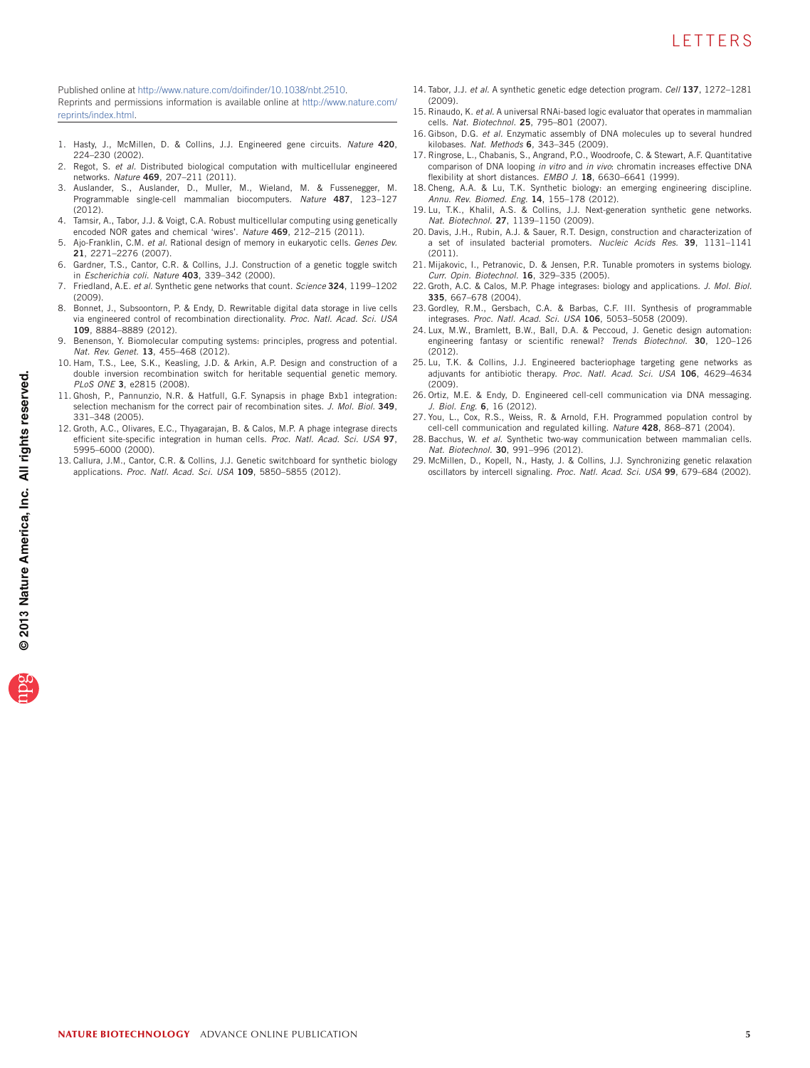Published online at<http://www.nature.com/doifinder/10.1038/nbt.2510>. Reprints and permissions information is available online at [http://www.nature.com/](http://www.nature.com/reprints/index.html) [reprints/index.html](http://www.nature.com/reprints/index.html).

- <span id="page-4-0"></span>1. Hasty, J., McMillen, D. & Collins, J.J. Engineered gene circuits. *Nature* 420, 224–230 (2002).
- <span id="page-4-1"></span>2. Regot, S. *et al.* Distributed biological computation with multicellular engineered networks. *Nature* 469, 207–211 (2011).
- 3. Auslander, S., Auslander, D., Muller, M., Wieland, M. & Fussenegger, M. Programmable single-cell mammalian biocomputers. *Nature* 487, 123–127 (2012).
- <span id="page-4-2"></span>4. Tamsir, A., Tabor, J.J. & Voigt, C.A. Robust multicellular computing using genetically encoded NOR gates and chemical 'wires'. *Nature* 469, 212–215 (2011).
- <span id="page-4-3"></span>5. Ajo-Franklin, C.M. *et al.* Rational design of memory in eukaryotic cells. *Genes Dev.* 21, 2271–2276 (2007).
- 6. Gardner, T.S., Cantor, C.R. & Collins, J.J. Construction of a genetic toggle switch in *Escherichia coli*. *Nature* 403, 339–342 (2000).
- <span id="page-4-6"></span>7. Friedland, A.E. *et al.* Synthetic gene networks that count. *Science* 324, 1199–1202 (2009).
- <span id="page-4-4"></span>8. Bonnet, J., Subsoontorn, P. & Endy, D. Rewritable digital data storage in live cells via engineered control of recombination directionality. *Proc. Natl. Acad. Sci. USA* 109, 8884–8889 (2012).
- <span id="page-4-5"></span>9. Benenson, Y. Biomolecular computing systems: principles, progress and potential. *Nat. Rev. Genet.* 13, 455–468 (2012).
- <span id="page-4-7"></span>10. Ham, T.S., Lee, S.K., Keasling, J.D. & Arkin, A.P. Design and construction of a double inversion recombination switch for heritable sequential genetic memory. *PLoS ONE* 3, e2815 (2008).
- <span id="page-4-8"></span>11. Ghosh, P., Pannunzio, N.R. & Hatfull, G.F. Synapsis in phage Bxb1 integration: selection mechanism for the correct pair of recombination sites. *J. Mol. Biol.* 349, 331–348 (2005).
- <span id="page-4-9"></span>12. Groth, A.C., Olivares, E.C., Thyagarajan, B. & Calos, M.P. A phage integrase directs efficient site-specific integration in human cells. *Proc. Natl. Acad. Sci. USA* 97, 5995–6000 (2000).
- <span id="page-4-10"></span>13. Callura, J.M., Cantor, C.R. & Collins, J.J. Genetic switchboard for synthetic biology applications. *Proc. Natl. Acad. Sci. USA* 109, 5850–5855 (2012).
- <span id="page-4-11"></span>14. Tabor, J.J. *et al.* A synthetic genetic edge detection program. *Cell* 137, 1272–1281 (2009).
- <span id="page-4-12"></span>15. Rinaudo, K. *et al.* A universal RNAi-based logic evaluator that operates in mammalian cells. *Nat. Biotechnol.* 25, 795–801 (2007).
- <span id="page-4-13"></span>16. Gibson, D.G. *et al.* Enzymatic assembly of DNA molecules up to several hundred kilobases. *Nat. Methods* 6, 343–345 (2009).
- <span id="page-4-14"></span>17. Ringrose, L., Chabanis, S., Angrand, P.O., Woodroofe, C. & Stewart, A.F. Quantitative comparison of DNA looping *in vitro* and *in vivo*: chromatin increases effective DNA flexibility at short distances. *EMBO J.* 18, 6630–6641 (1999).
- <span id="page-4-15"></span>18. Cheng, A.A. & Lu, T.K. Synthetic biology: an emerging engineering discipline. *Annu. Rev. Biomed. Eng.* 14, 155–178 (2012).
- <span id="page-4-16"></span>19. Lu, T.K., Khalil, A.S. & Collins, J.J. Next-generation synthetic gene networks. *Nat. Biotechnol.* 27, 1139–1150 (2009).
- <span id="page-4-17"></span>20. Davis, J.H., Rubin, A.J. & Sauer, R.T. Design, construction and characterization of a set of insulated bacterial promoters. *Nucleic Acids Res.* 39, 1131–1141 (2011).
- <span id="page-4-18"></span>21. Mijakovic, I., Petranovic, D. & Jensen, P.R. Tunable promoters in systems biology. *Curr. Opin. Biotechnol.* 16, 329–335 (2005).
- <span id="page-4-19"></span>22. Groth, A.C. & Calos, M.P. Phage integrases: biology and applications. *J. Mol. Biol.* 335, 667–678 (2004).
- <span id="page-4-20"></span>23. Gordley, R.M., Gersbach, C.A. & Barbas, C.F. III. Synthesis of programmable integrases. *Proc. Natl. Acad. Sci. USA* 106, 5053–5058 (2009).
- <span id="page-4-21"></span>24. Lux, M.W., Bramlett, B.W., Ball, D.A. & Peccoud, J. Genetic design automation: engineering fantasy or scientific renewal? *Trends Biotechnol.* 30, 120–126 (2012).
- <span id="page-4-22"></span>25. Lu, T.K. & Collins, J.J. Engineered bacteriophage targeting gene networks as adjuvants for antibiotic therapy. *Proc. Natl. Acad. Sci. USA* 106, 4629–4634 (2009).
- <span id="page-4-23"></span>26. Ortiz, M.E. & Endy, D. Engineered cell-cell communication via DNA messaging. *J. Biol. Eng.* 6, 16 (2012).
- <span id="page-4-24"></span>27. You, L., Cox, R.S., Weiss, R. & Arnold, F.H. Programmed population control by cell-cell communication and regulated killing. *Nature* 428, 868–871 (2004).
- <span id="page-4-25"></span>28. Bacchus, W. *et al.* Synthetic two-way communication between mammalian cells. *Nat. Biotechnol.* 30, 991–996 (2012).
- <span id="page-4-26"></span>29. McMillen, D., Kopell, N., Hasty, J. & Collins, J.J. Synchronizing genetic relaxation oscillators by intercell signaling. *Proc. Natl. Acad. Sci. USA* 99, 679–684 (2002).